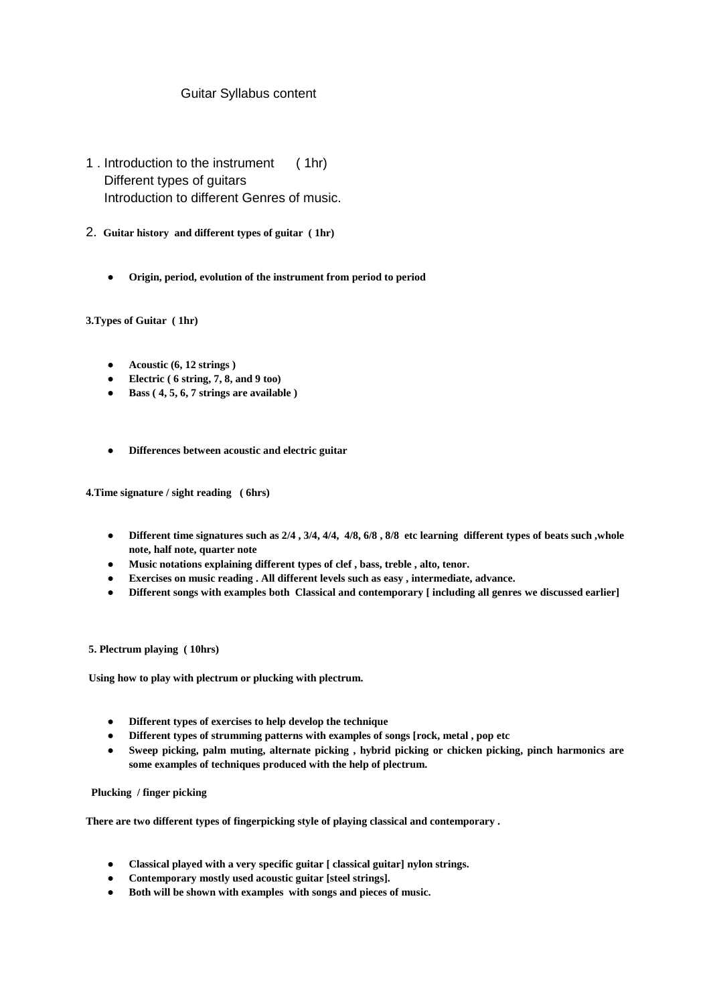## Guitar Syllabus content

- 1 . Introduction to the instrument ( 1hr) Different types of guitars Introduction to different Genres of music.
- 2. **Guitar history and different types of guitar ( 1hr)**
	- **Origin, period, evolution of the instrument from period to period**

**3.Types of Guitar ( 1hr)**

- **Acoustic (6, 12 strings )**
- **Electric ( 6 string, 7, 8, and 9 too)**
- **Bass ( 4, 5, 6, 7 strings are available )**
- **Differences between acoustic and electric guitar**

**4.Time signature / sight reading ( 6hrs)**

- **Different time signatures such as 2/4 , 3/4, 4/4, 4/8, 6/8 , 8/8 etc learning different types of beats such ,whole note, half note, quarter note**
- **Music notations explaining different types of clef , bass, treble , alto, tenor.**
- **Exercises on music reading . All different levels such as easy , intermediate, advance.**
- **Different songs with examples both Classical and contemporary [ including all genres we discussed earlier]**

## **5. Plectrum playing ( 10hrs)**

**Using how to play with plectrum or plucking with plectrum.**

- **Different types of exercises to help develop the technique**
- **Different types of strumming patterns with examples of songs [rock, metal , pop etc**
- **Sweep picking, palm muting, alternate picking , hybrid picking or chicken picking, pinch harmonics are some examples of techniques produced with the help of plectrum.**

 **Plucking / finger picking** 

**There are two different types of fingerpicking style of playing classical and contemporary .**

- **Classical played with a very specific guitar [ classical guitar] nylon strings.**
- **Contemporary mostly used acoustic guitar [steel strings].**
- **Both will be shown with examples with songs and pieces of music.**